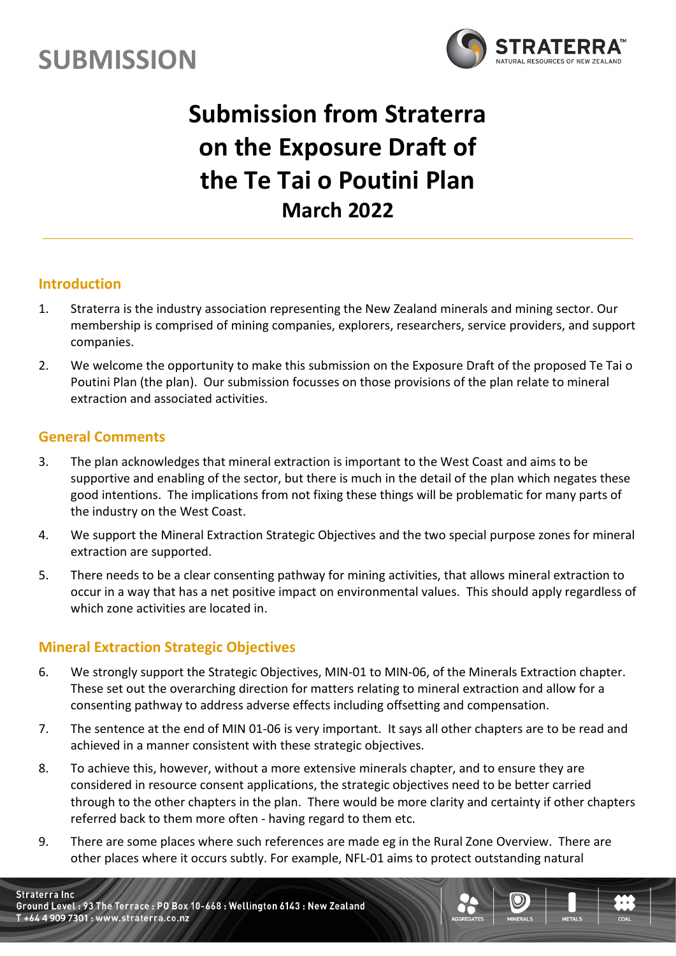



# **Submission from Straterra on the Exposure Draft of the Te Tai o Poutini Plan March 2022**

#### **Introduction**

- 1. Straterra is the industry association representing the New Zealand minerals and mining sector. Our membership is comprised of mining companies, explorers, researchers, service providers, and support companies.
- 2. We welcome the opportunity to make this submission on the Exposure Draft of the proposed Te Tai o Poutini Plan (the plan). Our submission focusses on those provisions of the plan relate to mineral extraction and associated activities.

#### **General Comments**

- 3. The plan acknowledges that mineral extraction is important to the West Coast and aims to be supportive and enabling of the sector, but there is much in the detail of the plan which negates these good intentions. The implications from not fixing these things will be problematic for many parts of the industry on the West Coast.
- 4. We support the Mineral Extraction Strategic Objectives and the two special purpose zones for mineral extraction are supported.
- 5. There needs to be a clear consenting pathway for mining activities, that allows mineral extraction to occur in a way that has a net positive impact on environmental values. This should apply regardless of which zone activities are located in.

#### **Mineral Extraction Strategic Objectives**

- 6. We strongly support the Strategic Objectives, MIN-01 to MIN-06, of the Minerals Extraction chapter. These set out the overarching direction for matters relating to mineral extraction and allow for a consenting pathway to address adverse effects including offsetting and compensation.
- 7. The sentence at the end of MIN 01-06 is very important. It says all other chapters are to be read and achieved in a manner consistent with these strategic objectives.
- 8. To achieve this, however, without a more extensive minerals chapter, and to ensure they are considered in resource consent applications, the strategic objectives need to be better carried through to the other chapters in the plan. There would be more clarity and certainty if other chapters referred back to them more often - having regard to them etc.
- 9. There are some places where such references are made eg in the Rural Zone Overview. There are other places where it occurs subtly. For example, NFL-01 aims to protect outstanding natural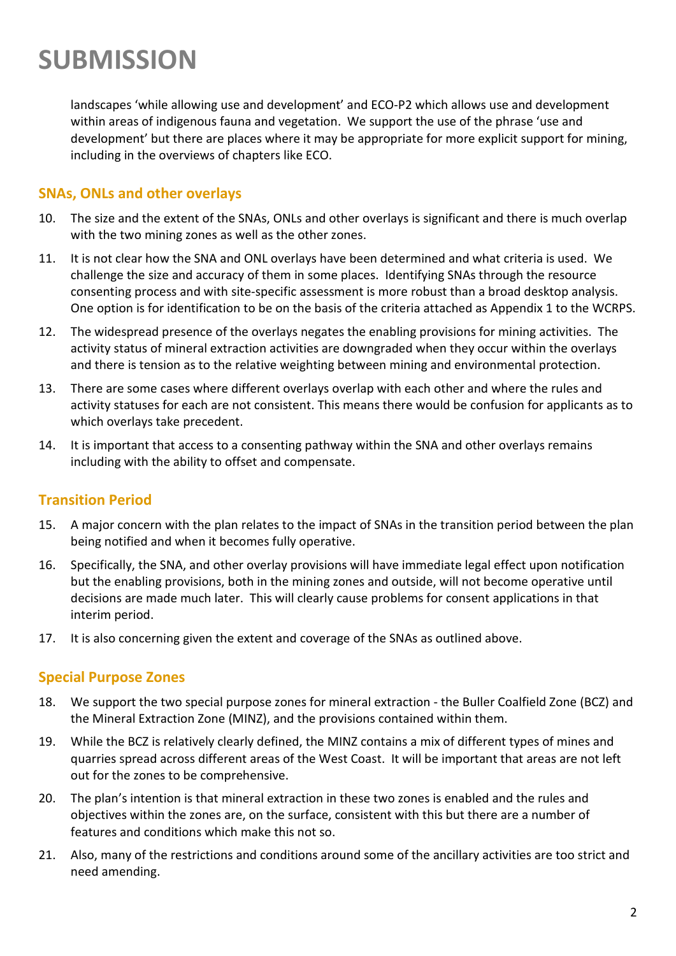landscapes 'while allowing use and development' and ECO-P2 which allows use and development within areas of indigenous fauna and vegetation. We support the use of the phrase 'use and development' but there are places where it may be appropriate for more explicit support for mining, including in the overviews of chapters like ECO.

#### **SNAs, ONLs and other overlays**

- 10. The size and the extent of the SNAs, ONLs and other overlays is significant and there is much overlap with the two mining zones as well as the other zones.
- 11. It is not clear how the SNA and ONL overlays have been determined and what criteria is used. We challenge the size and accuracy of them in some places. Identifying SNAs through the resource consenting process and with site-specific assessment is more robust than a broad desktop analysis. One option is for identification to be on the basis of the criteria attached as Appendix 1 to the WCRPS.
- 12. The widespread presence of the overlays negates the enabling provisions for mining activities. The activity status of mineral extraction activities are downgraded when they occur within the overlays and there is tension as to the relative weighting between mining and environmental protection.
- 13. There are some cases where different overlays overlap with each other and where the rules and activity statuses for each are not consistent. This means there would be confusion for applicants as to which overlays take precedent.
- 14. It is important that access to a consenting pathway within the SNA and other overlays remains including with the ability to offset and compensate.

#### **Transition Period**

- 15. A major concern with the plan relates to the impact of SNAs in the transition period between the plan being notified and when it becomes fully operative.
- 16. Specifically, the SNA, and other overlay provisions will have immediate legal effect upon notification but the enabling provisions, both in the mining zones and outside, will not become operative until decisions are made much later. This will clearly cause problems for consent applications in that interim period.
- 17. It is also concerning given the extent and coverage of the SNAs as outlined above.

#### **Special Purpose Zones**

- 18. We support the two special purpose zones for mineral extraction the Buller Coalfield Zone (BCZ) and the Mineral Extraction Zone (MINZ), and the provisions contained within them.
- 19. While the BCZ is relatively clearly defined, the MINZ contains a mix of different types of mines and quarries spread across different areas of the West Coast. It will be important that areas are not left out for the zones to be comprehensive.
- 20. The plan's intention is that mineral extraction in these two zones is enabled and the rules and objectives within the zones are, on the surface, consistent with this but there are a number of features and conditions which make this not so.
- 21. Also, many of the restrictions and conditions around some of the ancillary activities are too strict and need amending.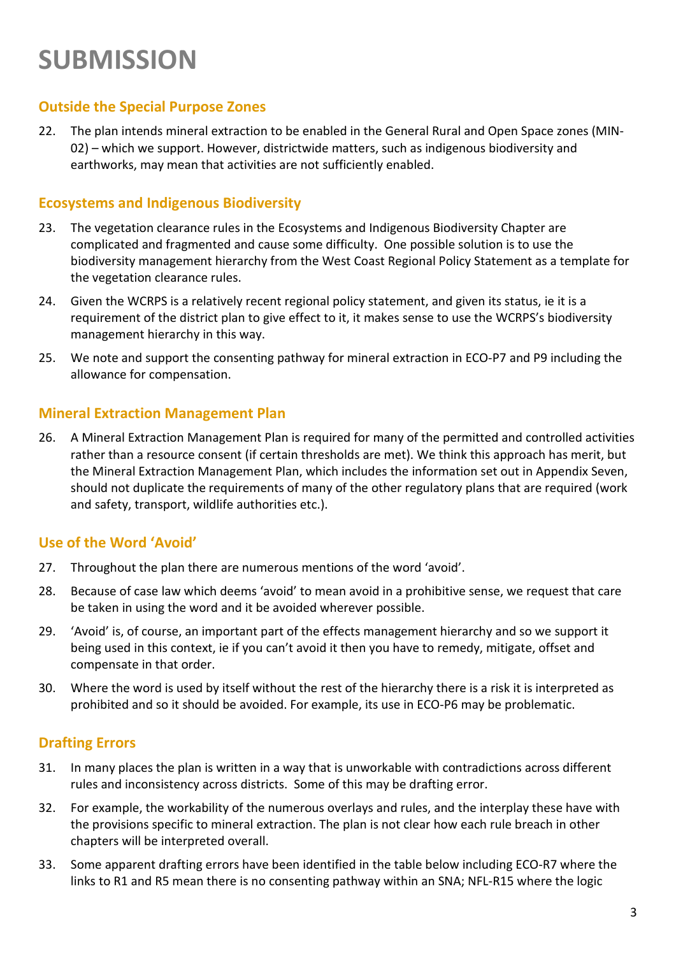#### **Outside the Special Purpose Zones**

22. The plan intends mineral extraction to be enabled in the General Rural and Open Space zones (MIN-02) – which we support. However, districtwide matters, such as indigenous biodiversity and earthworks, may mean that activities are not sufficiently enabled.

#### **Ecosystems and Indigenous Biodiversity**

- 23. The vegetation clearance rules in the Ecosystems and Indigenous Biodiversity Chapter are complicated and fragmented and cause some difficulty. One possible solution is to use the biodiversity management hierarchy from the West Coast Regional Policy Statement as a template for the vegetation clearance rules.
- 24. Given the WCRPS is a relatively recent regional policy statement, and given its status, ie it is a requirement of the district plan to give effect to it, it makes sense to use the WCRPS's biodiversity management hierarchy in this way.
- 25. We note and support the consenting pathway for mineral extraction in ECO-P7 and P9 including the allowance for compensation.

#### **Mineral Extraction Management Plan**

26. A Mineral Extraction Management Plan is required for many of the permitted and controlled activities rather than a resource consent (if certain thresholds are met). We think this approach has merit, but the Mineral Extraction Management Plan, which includes the information set out in Appendix Seven, should not duplicate the requirements of many of the other regulatory plans that are required (work and safety, transport, wildlife authorities etc.).

#### **Use of the Word 'Avoid'**

- 27. Throughout the plan there are numerous mentions of the word 'avoid'.
- 28. Because of case law which deems 'avoid' to mean avoid in a prohibitive sense, we request that care be taken in using the word and it be avoided wherever possible.
- 29. 'Avoid' is, of course, an important part of the effects management hierarchy and so we support it being used in this context, ie if you can't avoid it then you have to remedy, mitigate, offset and compensate in that order.
- 30. Where the word is used by itself without the rest of the hierarchy there is a risk it is interpreted as prohibited and so it should be avoided. For example, its use in ECO-P6 may be problematic.

#### **Drafting Errors**

- 31. In many places the plan is written in a way that is unworkable with contradictions across different rules and inconsistency across districts. Some of this may be drafting error.
- 32. For example, the workability of the numerous overlays and rules, and the interplay these have with the provisions specific to mineral extraction. The plan is not clear how each rule breach in other chapters will be interpreted overall.
- 33. Some apparent drafting errors have been identified in the table below including ECO-R7 where the links to R1 and R5 mean there is no consenting pathway within an SNA; NFL-R15 where the logic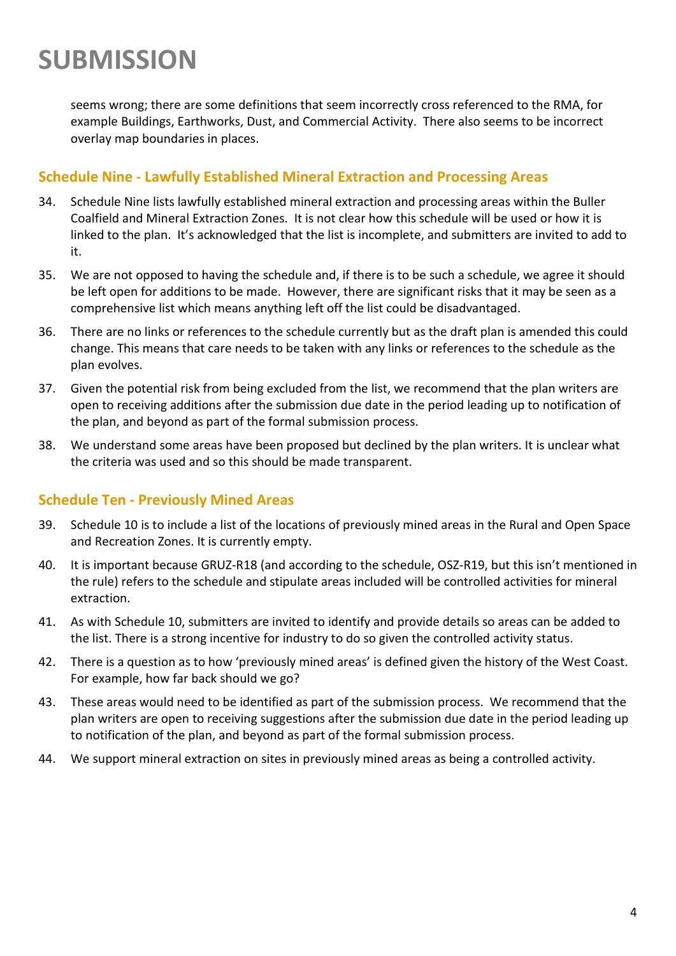seems wrong; there are some definitions that seem incorrectly cross referenced to the RMA, for example Buildings, Earthworks, Dust, and Commercial Activity. There also seems to be incorrect overlay map boundaries in places.

#### **Schedule Nine - Lawfully Established Mineral Extraction and Processing Areas**

- 34. Schedule Nine lists lawfully established mineral extraction and processing areas within the Buller Coalfield and Mineral Extraction Zones. It is not clear how this schedule will be used or how it is linked to the plan. It's acknowledged that the list is incomplete, and submitters are invited to add to it.
- 35. We are not opposed to having the schedule and, if there is to be such a schedule, we agree it should be left open for additions to be made. However, there are significant risks that it may be seen as a comprehensive list which means anything left off the list could be disadvantaged.
- 36. There are no links or references to the schedule currently but as the draft plan is amended this could change. This means that care needs to be taken with any links or references to the schedule as the plan evolves.
- 37. Given the potential risk from being excluded from the list, we recommend that the plan writers are open to receiving additions after the submission due date in the period leading up to notification of the plan, and beyond as part of the formal submission process.
- 38. We understand some areas have been proposed but declined by the plan writers. It is unclear what the criteria was used and so this should be made transparent.

#### **Schedule Ten - Previously Mined Areas**

- 39. Schedule 10 is to include a list of the locations of previously mined areas in the Rural and Open Space and Recreation Zones. It is currently empty.
- 40. It is important because GRUZ-R18 (and according to the schedule, OSZ-R19, but this isn't mentioned in the rule) refers to the schedule and stipulate areas included will be controlled activities for mineral extraction.
- 41. As with Schedule 10, submitters are invited to identify and provide details so areas can be added to the list. There is a strong incentive for industry to do so given the controlled activity status.
- 42. There is a question as to how 'previously mined areas' is defined given the history of the West Coast. For example, how far back should we go?
- 43. These areas would need to be identified as part of the submission process. We recommend that the plan writers are open to receiving suggestions after the submission due date in the period leading up to notification of the plan, and beyond as part of the formal submission process.
- 44. We support mineral extraction on sites in previously mined areas as being a controlled activity.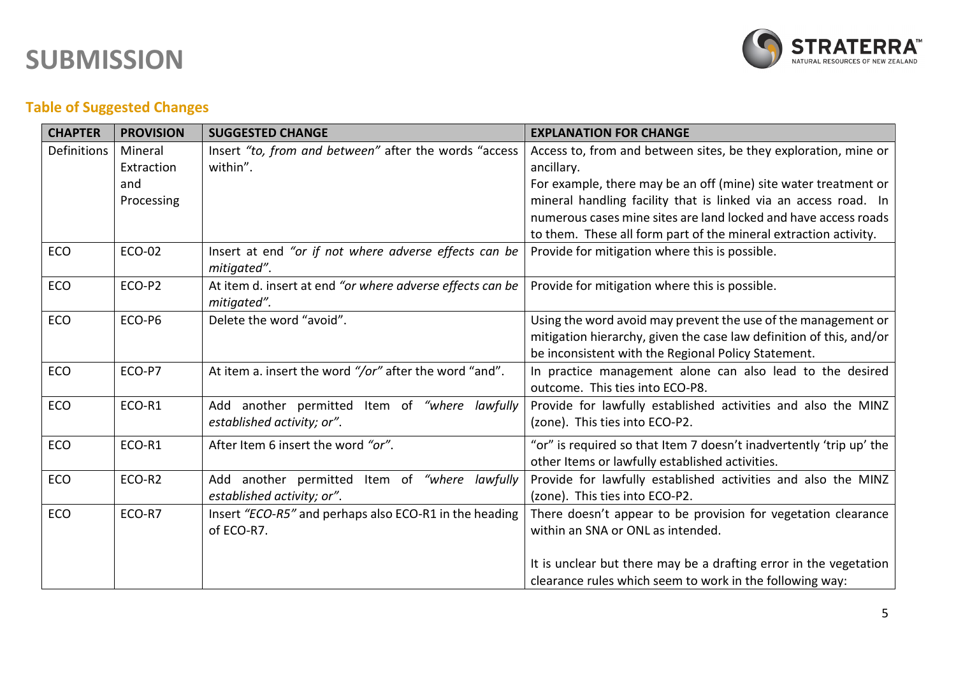

### **Table of Suggested Changes**

| <b>CHAPTER</b> | <b>PROVISION</b> | <b>SUGGESTED CHANGE</b>                                                  | <b>EXPLANATION FOR CHANGE</b>                                       |
|----------------|------------------|--------------------------------------------------------------------------|---------------------------------------------------------------------|
| Definitions    | Mineral          | Insert "to, from and between" after the words "access                    | Access to, from and between sites, be they exploration, mine or     |
|                | Extraction       | within".                                                                 | ancillary.                                                          |
|                | and              |                                                                          | For example, there may be an off (mine) site water treatment or     |
|                | Processing       |                                                                          | mineral handling facility that is linked via an access road. In     |
|                |                  |                                                                          | numerous cases mine sites are land locked and have access roads     |
|                |                  |                                                                          | to them. These all form part of the mineral extraction activity.    |
| ECO            | ECO-02           | Insert at end "or if not where adverse effects can be<br>mitigated".     | Provide for mitigation where this is possible.                      |
| ECO            | ECO-P2           | At item d. insert at end "or where adverse effects can be<br>mitigated". | Provide for mitigation where this is possible.                      |
| <b>ECO</b>     | ECO-P6           | Delete the word "avoid".                                                 | Using the word avoid may prevent the use of the management or       |
|                |                  |                                                                          | mitigation hierarchy, given the case law definition of this, and/or |
|                |                  |                                                                          | be inconsistent with the Regional Policy Statement.                 |
| ECO            | ECO-P7           | At item a. insert the word "/or" after the word "and".                   | In practice management alone can also lead to the desired           |
|                |                  |                                                                          | outcome. This ties into ECO-P8.                                     |
| <b>ECO</b>     | ECO-R1           | Add another permitted Item of "where lawfully                            | Provide for lawfully established activities and also the MINZ       |
|                |                  | established activity; or".                                               | (zone). This ties into ECO-P2.                                      |
| <b>ECO</b>     | ECO-R1           | After Item 6 insert the word "or".                                       | "or" is required so that Item 7 doesn't inadvertently 'trip up' the |
|                |                  |                                                                          | other Items or lawfully established activities.                     |
| ECO            | ECO-R2           | Add another permitted Item of "where lawfully                            | Provide for lawfully established activities and also the MINZ       |
|                |                  | established activity; or".                                               | (zone). This ties into ECO-P2.                                      |
| <b>ECO</b>     | ECO-R7           | Insert "ECO-R5" and perhaps also ECO-R1 in the heading                   | There doesn't appear to be provision for vegetation clearance       |
|                |                  | of ECO-R7.                                                               | within an SNA or ONL as intended.                                   |
|                |                  |                                                                          |                                                                     |
|                |                  |                                                                          | It is unclear but there may be a drafting error in the vegetation   |
|                |                  |                                                                          | clearance rules which seem to work in the following way:            |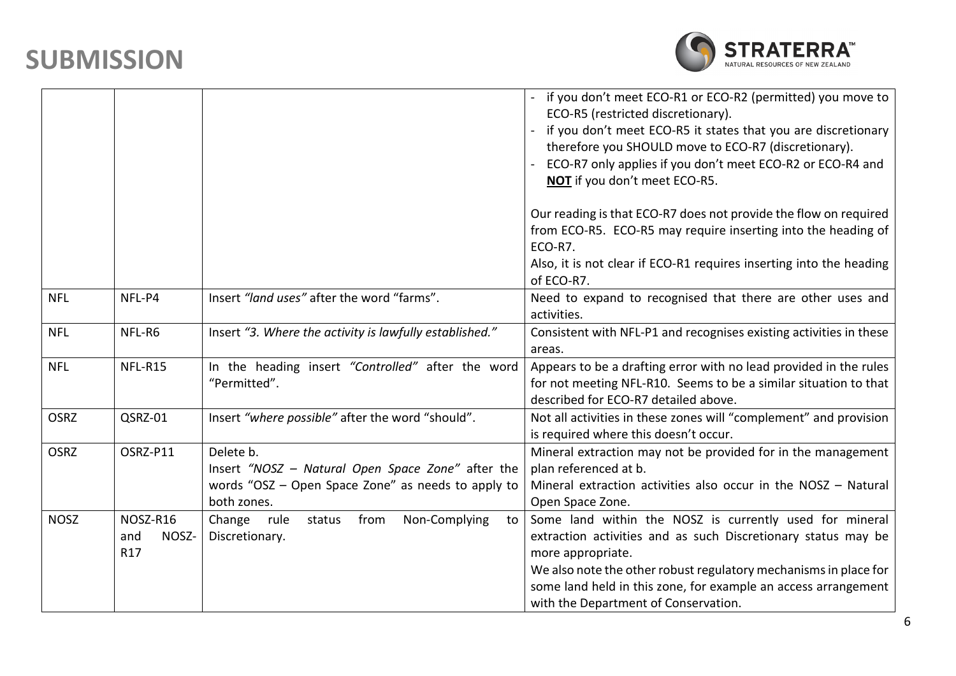

|             |                                 |                                                                                                                                     | if you don't meet ECO-R1 or ECO-R2 (permitted) you move to<br>ECO-R5 (restricted discretionary).<br>if you don't meet ECO-R5 it states that you are discretionary<br>therefore you SHOULD move to ECO-R7 (discretionary).<br>ECO-R7 only applies if you don't meet ECO-R2 or ECO-R4 and<br>NOT if you don't meet ECO-R5.    |
|-------------|---------------------------------|-------------------------------------------------------------------------------------------------------------------------------------|-----------------------------------------------------------------------------------------------------------------------------------------------------------------------------------------------------------------------------------------------------------------------------------------------------------------------------|
|             |                                 |                                                                                                                                     | Our reading is that ECO-R7 does not provide the flow on required<br>from ECO-R5. ECO-R5 may require inserting into the heading of<br>ECO-R7.                                                                                                                                                                                |
|             |                                 |                                                                                                                                     | Also, it is not clear if ECO-R1 requires inserting into the heading<br>of ECO-R7.                                                                                                                                                                                                                                           |
| <b>NFL</b>  | NFL-P4                          | Insert "land uses" after the word "farms".                                                                                          | Need to expand to recognised that there are other uses and<br>activities.                                                                                                                                                                                                                                                   |
| <b>NFL</b>  | NFL-R6                          | Insert "3. Where the activity is lawfully established."                                                                             | Consistent with NFL-P1 and recognises existing activities in these<br>areas.                                                                                                                                                                                                                                                |
| <b>NFL</b>  | NFL-R15                         | In the heading insert "Controlled" after the word<br>"Permitted".                                                                   | Appears to be a drafting error with no lead provided in the rules<br>for not meeting NFL-R10. Seems to be a similar situation to that<br>described for ECO-R7 detailed above.                                                                                                                                               |
| <b>OSRZ</b> | QSRZ-01                         | Insert "where possible" after the word "should".                                                                                    | Not all activities in these zones will "complement" and provision<br>is required where this doesn't occur.                                                                                                                                                                                                                  |
| <b>OSRZ</b> | OSRZ-P11                        | Delete b.<br>Insert "NOSZ - Natural Open Space Zone" after the<br>words "OSZ - Open Space Zone" as needs to apply to<br>both zones. | Mineral extraction may not be provided for in the management<br>plan referenced at b.<br>Mineral extraction activities also occur in the NOSZ - Natural<br>Open Space Zone.                                                                                                                                                 |
| <b>NOSZ</b> | NOSZ-R16<br>NOSZ-<br>and<br>R17 | Non-Complying<br>Change rule<br>from<br>status<br>to<br>Discretionary.                                                              | Some land within the NOSZ is currently used for mineral<br>extraction activities and as such Discretionary status may be<br>more appropriate.<br>We also note the other robust regulatory mechanisms in place for<br>some land held in this zone, for example an access arrangement<br>with the Department of Conservation. |